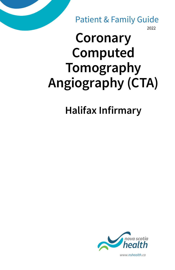2022 Patient & Family Guide

# **Coronary Computed Tomography Angiography (CTA)**

**Halifax Infirmary**



*www.nshealth.ca*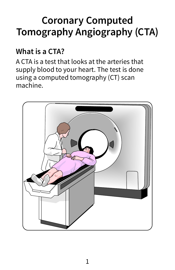## **Coronary Computed Tomography Angiography (CTA)**

#### **What is a CTA?**

A CTA is a test that looks at the arteries that supply blood to your heart. The test is done using a computed tomography (CT) scan machine.

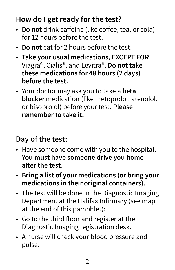### **How do I get ready for the test?**

- **Do not** drink caffeine (like coffee, tea, or cola) for 12 hours before the test.
- **Do not** eat for 2 hours before the test.
- **Take your usual medications, EXCEPT FOR** Viagra®, Cialis®, and Levitra®. **Do not take these medications for 48 hours (2 days) before the test.**
- Your doctor may ask you to take a **beta blocker** medication (like metoprolol, atenolol, or bisoprolol) before your test. **Please remember to take it.**

#### **Day of the test:**

- Have someone come with you to the hospital. **You must have someone drive you home after the test.**
- **Bring a list of your medications (or bring your medications in their original containers).**
- The test will be done in the Diagnostic Imaging Department at the Halifax Infirmary (see map at the end of this pamphlet):
- Go to the third floor and register at the Diagnostic Imaging registration desk.
- A nurse will check your blood pressure and pulse.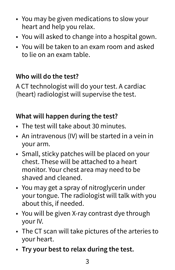- You may be given medications to slow your heart and help you relax.
- You will asked to change into a hospital gown.
- You will be taken to an exam room and asked to lie on an exam table.

#### **Who will do the test?**

A CT technologist will do your test. A cardiac (heart) radiologist will supervise the test.

#### **What will happen during the test?**

- The test will take about 30 minutes.
- An intravenous (IV) will be started in a vein in your arm.
- Small, sticky patches will be placed on your chest. These will be attached to a heart monitor. Your chest area may need to be shaved and cleaned.
- You may get a spray of nitroglycerin under your tongue. The radiologist will talk with you about this, if needed.
- You will be given X-ray contrast dye through your IV.
- The CT scan will take pictures of the arteries to your heart.
- **Try your best to relax during the test.**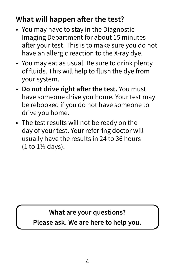### **What will happen after the test?**

- You may have to stay in the Diagnostic Imaging Department for about 15 minutes after your test. This is to make sure you do not have an allergic reaction to the X-ray dye.
- You may eat as usual. Be sure to drink plenty of fluids. This will help to flush the dye from your system.
- **Do not drive right after the test.** You must have someone drive you home. Your test may be rebooked if you do not have someone to drive you home.
- The test results will not be ready on the day of your test. Your referring doctor will usually have the results in 24 to 36 hours (1 to 1½ days).

### **What are your questions?**

**Please ask. We are here to help you.**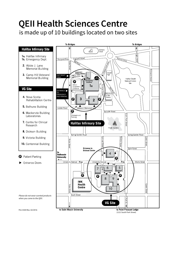### **QEII Health Sciences Centre**

is made up of 10 buildings located on two sites